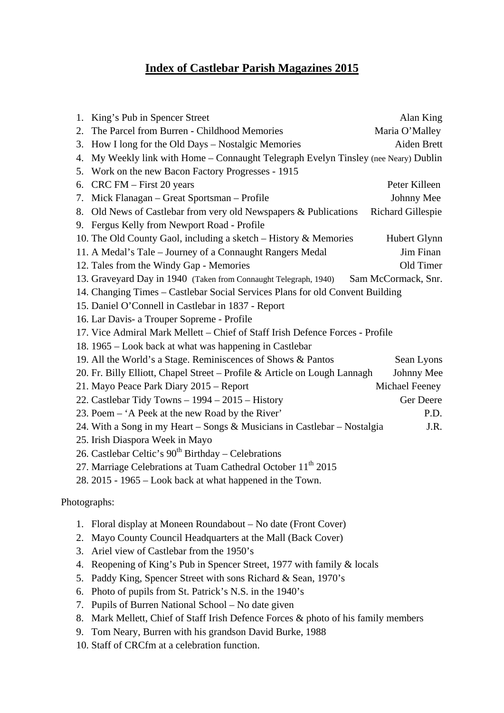## **Index of Castlebar Parish Magazines 2015**

|              | 1.                                                                                    | King's Pub in Spencer Street                                                     | Alan King                |
|--------------|---------------------------------------------------------------------------------------|----------------------------------------------------------------------------------|--------------------------|
|              | 2.                                                                                    | The Parcel from Burren - Childhood Memories                                      | Maria O'Malley           |
|              | 3.                                                                                    | How I long for the Old Days – Nostalgic Memories                                 | Aiden Brett              |
|              | 4.                                                                                    | My Weekly link with Home - Connaught Telegraph Evelyn Tinsley (nee Neary) Dublin |                          |
|              | 5.                                                                                    | Work on the new Bacon Factory Progresses - 1915                                  |                          |
|              | 6.                                                                                    | CRC FM – First 20 years                                                          | Peter Killeen            |
|              | 7.                                                                                    | Mick Flanagan - Great Sportsman - Profile                                        | Johnny Mee               |
|              | 8.                                                                                    | Old News of Castlebar from very old Newspapers & Publications                    | <b>Richard Gillespie</b> |
|              | 9.                                                                                    | Fergus Kelly from Newport Road - Profile                                         |                          |
|              |                                                                                       | 10. The Old County Gaol, including a sketch – History $\&$ Memories              | Hubert Glynn             |
|              |                                                                                       | 11. A Medal's Tale - Journey of a Connaught Rangers Medal                        | Jim Finan                |
|              |                                                                                       | 12. Tales from the Windy Gap - Memories                                          | Old Timer                |
|              |                                                                                       | 13. Graveyard Day in 1940 (Taken from Connaught Telegraph, 1940)                 | Sam McCormack, Snr.      |
|              | 14. Changing Times – Castlebar Social Services Plans for old Convent Building         |                                                                                  |                          |
|              |                                                                                       | 15. Daniel O'Connell in Castlebar in 1837 - Report                               |                          |
|              |                                                                                       | 16. Lar Davis- a Trouper Sopreme - Profile                                       |                          |
|              | 17. Vice Admiral Mark Mellett – Chief of Staff Irish Defence Forces - Profile         |                                                                                  |                          |
|              | 18. 1965 – Look back at what was happening in Castlebar                               |                                                                                  |                          |
|              |                                                                                       | 19. All the World's a Stage. Reminiscences of Shows & Pantos                     | Sean Lyons               |
|              |                                                                                       | 20. Fr. Billy Elliott, Chapel Street - Profile & Article on Lough Lannagh        | Johnny Mee               |
|              |                                                                                       | 21. Mayo Peace Park Diary 2015 – Report                                          | Michael Feeney           |
|              |                                                                                       | 22. Castlebar Tidy Towns - 1994 - 2015 - History                                 | Ger Deere                |
|              |                                                                                       | 23. Poem – 'A Peek at the new Road by the River'                                 | P.D.                     |
|              | 24. With a Song in my Heart – Songs & Musicians in Castlebar – Nostalgia<br>J.R.      |                                                                                  |                          |
|              |                                                                                       | 25. Irish Diaspora Week in Mayo                                                  |                          |
|              | 26. Castlebar Celtic's $90th$ Birthday – Celebrations                                 |                                                                                  |                          |
|              |                                                                                       | 27. Marriage Celebrations at Tuam Cathedral October 11 <sup>th</sup> 2015        |                          |
|              |                                                                                       | 28. 2015 - 1965 – Look back at what happened in the Town.                        |                          |
| Photographs: |                                                                                       |                                                                                  |                          |
|              |                                                                                       |                                                                                  |                          |
|              | 1.                                                                                    | Floral display at Moneen Roundabout – No date (Front Cover)                      |                          |
|              | 2.                                                                                    | Mayo County Council Headquarters at the Mall (Back Cover)                        |                          |
|              | 3.                                                                                    | Ariel view of Castlebar from the 1950's                                          |                          |
|              | Reopening of King's Pub in Spencer Street, 1977 with family & locals<br>4.            |                                                                                  |                          |
|              | 5.                                                                                    | Paddy King, Spencer Street with sons Richard & Sean, 1970's                      |                          |
|              | 6.                                                                                    | Photo of pupils from St. Patrick's N.S. in the 1940's                            |                          |
|              | Pupils of Burren National School - No date given<br>7.                                |                                                                                  |                          |
|              | Mark Mellett, Chief of Staff Irish Defence Forces & photo of his family members<br>8. |                                                                                  |                          |

- 9. Tom Neary, Burren with his grandson David Burke, 1988
- 10. Staff of CRCfm at a celebration function.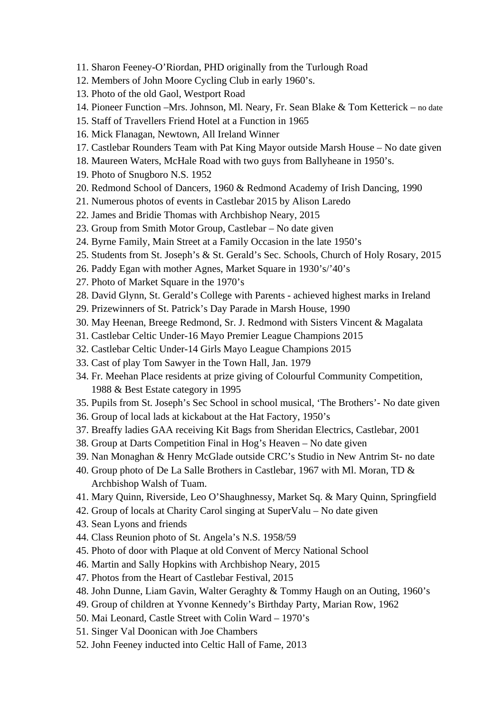- 11. Sharon Feeney-O'Riordan, PHD originally from the Turlough Road
- 12. Members of John Moore Cycling Club in early 1960's.
- 13. Photo of the old Gaol, Westport Road
- 14. Pioneer Function –Mrs. Johnson, Ml. Neary, Fr. Sean Blake & Tom Ketterick no date
- 15. Staff of Travellers Friend Hotel at a Function in 1965
- 16. Mick Flanagan, Newtown, All Ireland Winner
- 17. Castlebar Rounders Team with Pat King Mayor outside Marsh House No date given
- 18. Maureen Waters, McHale Road with two guys from Ballyheane in 1950's.
- 19. Photo of Snugboro N.S. 1952
- 20. Redmond School of Dancers, 1960 & Redmond Academy of Irish Dancing, 1990
- 21. Numerous photos of events in Castlebar 2015 by Alison Laredo
- 22. James and Bridie Thomas with Archbishop Neary, 2015
- 23. Group from Smith Motor Group, Castlebar No date given
- 24. Byrne Family, Main Street at a Family Occasion in the late 1950's
- 25. Students from St. Joseph's & St. Gerald's Sec. Schools, Church of Holy Rosary, 2015
- 26. Paddy Egan with mother Agnes, Market Square in 1930's/'40's
- 27. Photo of Market Square in the 1970's
- 28. David Glynn, St. Gerald's College with Parents achieved highest marks in Ireland
- 29. Prizewinners of St. Patrick's Day Parade in Marsh House, 1990
- 30. May Heenan, Breege Redmond, Sr. J. Redmond with Sisters Vincent & Magalata
- 31. Castlebar Celtic Under-16 Mayo Premier League Champions 2015
- 32. Castlebar Celtic Under-14 Girls Mayo League Champions 2015
- 33. Cast of play Tom Sawyer in the Town Hall, Jan. 1979
- 34. Fr. Meehan Place residents at prize giving of Colourful Community Competition, 1988 & Best Estate category in 1995
- 35. Pupils from St. Joseph's Sec School in school musical, 'The Brothers'- No date given
- 36. Group of local lads at kickabout at the Hat Factory, 1950's
- 37. Breaffy ladies GAA receiving Kit Bags from Sheridan Electrics, Castlebar, 2001
- 38. Group at Darts Competition Final in Hog's Heaven No date given
- 39. Nan Monaghan & Henry McGlade outside CRC's Studio in New Antrim St- no date
- 40. Group photo of De La Salle Brothers in Castlebar, 1967 with Ml. Moran, TD & Archbishop Walsh of Tuam.
- 41. Mary Quinn, Riverside, Leo O'Shaughnessy, Market Sq. & Mary Quinn, Springfield
- 42. Group of locals at Charity Carol singing at SuperValu No date given
- 43. Sean Lyons and friends
- 44. Class Reunion photo of St. Angela's N.S. 1958/59
- 45. Photo of door with Plaque at old Convent of Mercy National School
- 46. Martin and Sally Hopkins with Archbishop Neary, 2015
- 47. Photos from the Heart of Castlebar Festival, 2015
- 48. John Dunne, Liam Gavin, Walter Geraghty & Tommy Haugh on an Outing, 1960's
- 49. Group of children at Yvonne Kennedy's Birthday Party, Marian Row, 1962
- 50. Mai Leonard, Castle Street with Colin Ward 1970's
- 51. Singer Val Doonican with Joe Chambers
- 52. John Feeney inducted into Celtic Hall of Fame, 2013